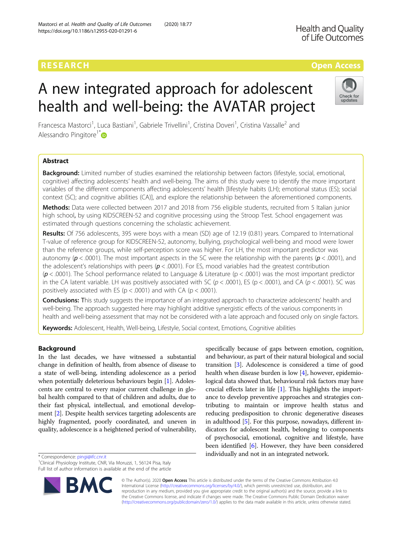# RESEARCH **RESEARCH CONSUMING THE CONSUMING TEACHER CONSUMING THE CONSUMING TEACHER CONSUMING THE CONSUMING TEACHER CONSUMING THE CONSUMING TEACHER CONSUMING THE CONSUMING TEACHER CONSUMING THE CONSUMING TEACHER CONSUMING**

# A new integrated approach for adolescent health and well-being: the AVATAR project



Francesca Mastorci<sup>1</sup>, Luca Bastiani<sup>1</sup>, Gabriele Trivellini<sup>1</sup>, Cristina Doveri<sup>1</sup>, Cristina Vassalle<sup>2</sup> and Alessandro Pingitore<sup>1\*</sup>

# Abstract

Background: Limited number of studies examined the relationship between factors (lifestyle, social, emotional, cognitive) affecting adolescents' health and well-being. The aims of this study were to identify the more important variables of the different components affecting adolescents' health [lifestyle habits (LH); emotional status (ES); social context (SC); and cognitive abilities (CA)], and explore the relationship between the aforementioned components.

Methods: Data were collected between 2017 and 2018 from 756 eligible students, recruited from 5 Italian junior high school, by using KIDSCREEN-52 and cognitive processing using the Stroop Test. School engagement was estimated through questions concerning the scholastic achievement.

Results: Of 756 adolescents, 395 were boys with a mean (SD) age of 12.19 (0.81) years. Compared to International T-value of reference group for KIDSCREEN-52, autonomy, bullying, psychological well-being and mood were lower than the reference groups, while self-perception score was higher. For LH, the most important predictor was autonomy ( $p$  < .0001). The most important aspects in the SC were the relationship with the parents ( $p$  < .0001), and the adolescent's relationships with peers ( $p < .0001$ ). For ES, mood variables had the greatest contribution  $(p < .0001)$ . The School performance related to Language & Literature ( $p < .0001$ ) was the most important predictor in the CA latent variable. LH was positively associated with SC ( $p < .0001$ ), ES ( $p < .0001$ ), and CA ( $p < .0001$ ). SC was positively associated with ES ( $p < .0001$ ) and with CA ( $p < .0001$ ).

**Conclusions:** This study suggests the importance of an integrated approach to characterize adolescents' health and well-being. The approach suggested here may highlight additive synergistic effects of the various components in health and well-being assessment that may not be considered with a late approach and focused only on single factors.

Keywords: Adolescent, Health, Well-being, Lifestyle, Social context, Emotions, Cognitive abilities

# Background

In the last decades, we have witnessed a substantial change in definition of health, from absence of disease to a state of well-being, intending adolescence as a period when potentially deleterious behaviours begin [[1](#page-7-0)]. Adolescents are central to every major current challenge in global health compared to that of children and adults, due to their fast physical, intellectual, and emotional development [[2](#page-7-0)]. Despite health services targeting adolescents are highly fragmented, poorly coordinated, and uneven in quality, adolescence is a heightened period of vulnerability,

\* Correspondence: [pingi@ifc.cnr.it](mailto:pingi@ifc.cnr.it) <sup>1</sup>

<sup>&</sup>lt;sup>1</sup>Clinical Physiology Institute, CNR, Via Moruzzi, 1, 56124 Pisa, Italy Full list of author information is available at the end of the article





© The Author(s). 2020 Open Access This article is distributed under the terms of the Creative Commons Attribution 4.0 International License [\(http://creativecommons.org/licenses/by/4.0/](http://creativecommons.org/licenses/by/4.0/)), which permits unrestricted use, distribution, and reproduction in any medium, provided you give appropriate credit to the original author(s) and the source, provide a link to the Creative Commons license, and indicate if changes were made. The Creative Commons Public Domain Dedication waiver [\(http://creativecommons.org/publicdomain/zero/1.0/](http://creativecommons.org/publicdomain/zero/1.0/)) applies to the data made available in this article, unless otherwise stated.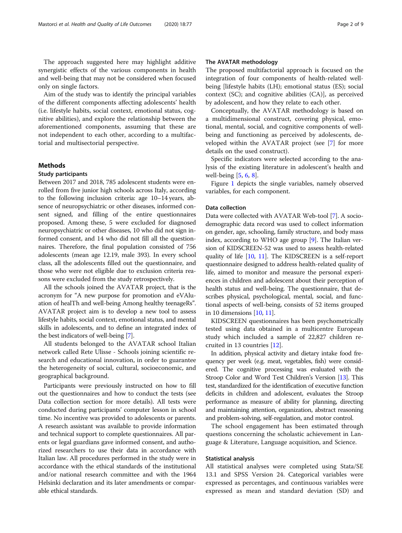The approach suggested here may highlight additive synergistic effects of the various components in health and well-being that may not be considered when focused only on single factors.

Aim of the study was to identify the principal variables of the different components affecting adolescents' health (i.e. lifestyle habits, social context, emotional status, cognitive abilities), and explore the relationship between the aforementioned components, assuming that these are not independent to each other, according to a multifactorial and multisectorial perspective.

#### Methods

#### Study participants

Between 2017 and 2018, 785 adolescent students were enrolled from five junior high schools across Italy, according to the following inclusion criteria: age 10–14 years, absence of neuropsychiatric or other diseases, informed consent signed, and filling of the entire questionnaires proposed. Among these, 5 were excluded for diagnosed neuropsychiatric or other diseases, 10 who did not sign informed consent, and 14 who did not fill all the questionnaires. Therefore, the final population consisted of 756 adolescents (mean age 12.19, male 393). In every school class, all the adolescents filled out the questionnaire, and those who were not eligible due to exclusion criteria reasons were excluded from the study retrospectively.

All the schools joined the AVATAR project, that is the acronym for "A new purpose for promotion and eVAluation of healTh and well-being Among healthy teenageRs". AVATAR project aim is to develop a new tool to assess lifestyle habits, social context, emotional status, and mental skills in adolescents, and to define an integrated index of the best indicators of well-being [\[7](#page-7-0)].

All students belonged to the AVATAR school Italian network called Rete Ulisse - Schools joining scientific research and educational innovation, in order to guarantee the heterogeneity of social, cultural, socioeconomic, and geographical background.

Participants were previously instructed on how to fill out the questionnaires and how to conduct the tests (see Data collection section for more details). All tests were conducted during participants' computer lesson in school time. No incentive was provided to adolescents or parents. A research assistant was available to provide information and technical support to complete questionnaires. All parents or legal guardians gave informed consent, and authorized researchers to use their data in accordance with Italian law. All procedures performed in the study were in accordance with the ethical standards of the institutional and/or national research committee and with the 1964 Helsinki declaration and its later amendments or comparable ethical standards.

#### The AVATAR methodology

The proposed multifactorial approach is focused on the integration of four components of health-related wellbeing [lifestyle habits (LH); emotional status (ES); social context (SC); and cognitive abilities (CA)], as perceived by adolescent, and how they relate to each other.

Conceptually, the AVATAR methodology is based on a multidimensional construct, covering physical, emotional, mental, social, and cognitive components of wellbeing and functioning as perceived by adolescents, developed within the AVATAR project (see [[7\]](#page-7-0) for more details on the used construct).

Specific indicators were selected according to the analysis of the existing literature in adolescent's health and well-being [[5,](#page-7-0) [6,](#page-7-0) [8\]](#page-7-0).

Figure [1](#page-2-0) depicts the single variables, namely observed variables, for each component.

#### Data collection

Data were collected with AVATAR Web-tool [\[7](#page-7-0)]. A sociodemographic data record was used to collect information on gender, age, schooling, family structure, and body mass index, according to WHO age group [\[9](#page-7-0)]. The Italian version of KIDSCREEN-52 was used to assess health-related quality of life [\[10,](#page-7-0) [11](#page-7-0)]. The KIDSCREEN is a self-report questionnaire designed to address health-related quality of life, aimed to monitor and measure the personal experiences in children and adolescent about their perception of health status and well-being. The questionnaire, that describes physical, psychological, mental, social, and functional aspects of well-being, consists of 52 items grouped in 10 dimensions [[10](#page-7-0), [11\]](#page-7-0).

KIDSCREEN questionnaires has been psychometrically tested using data obtained in a multicentre European study which included a sample of 22,827 children recruited in 13 countries [\[12\]](#page-7-0).

In addition, physical activity and dietary intake food frequency per week (e.g. meat, vegetables, fish) were considered. The cognitive processing was evaluated with the Stroop Color and Word Test Children's Version [\[13\]](#page-7-0). This test, standardized for the identification of executive function deficits in children and adolescent, evaluates the Stroop performance as measure of ability for planning, directing and maintaining attention, organization, abstract reasoning and problem-solving, self-regulation, and motor control.

The school engagement has been estimated through questions concerning the scholastic achievement in Language & Literature, Language acquisition, and Science.

#### Statistical analysis

All statistical analyses were completed using Stata/SE 13.1 and SPSS Version 24. Categorical variables were expressed as percentages, and continuous variables were expressed as mean and standard deviation (SD) and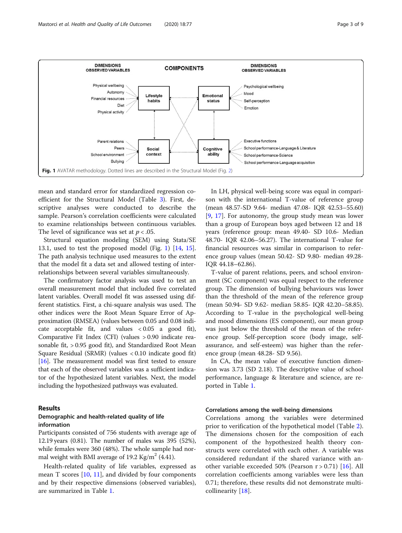<span id="page-2-0"></span>

mean and standard error for standardized regression coefficient for the Structural Model (Table [3\)](#page-4-0). First, descriptive analyses were conducted to describe the sample. Pearson's correlation coefficients were calculated to examine relationships between continuous variables. The level of significance was set at  $p < .05$ .

Structural equation modeling (SEM) using Stata/SE 13.1, used to test the proposed model (Fig. 1) [\[14](#page-7-0), [15](#page-7-0)]. The path analysis technique used measures to the extent that the model fit a data set and allowed testing of interrelationships between several variables simultaneously.

The confirmatory factor analysis was used to test an overall measurement model that included five correlated latent variables. Overall model fit was assessed using different statistics. First, a chi-square analysis was used. The other indices were the Root Mean Square Error of Approximation (RMSEA) (values between 0.05 and 0.08 indicate acceptable fit, and values  $< 0.05$  a good fit), Comparative Fit Index (CFI) (values > 0.90 indicate reasonable fit, > 0.95 good fit), and Standardized Root Mean Square Residual (SRMR) (values < 0.10 indicate good fit) [[16](#page-7-0)]. The measurement model was first tested to ensure that each of the observed variables was a sufficient indicator of the hypothesized latent variables. Next, the model including the hypothesized pathways was evaluated.

## Results

### Demographic and health-related quality of life information

Participants consisted of 756 students with average age of 12.19 years (0.81). The number of males was 395 (52%), while females were 360 (48%). The whole sample had normal weight with BMI average of 19.2 Kg/m<sup>2</sup> (4.41).

Health-related quality of life variables, expressed as mean T scores [\[10](#page-7-0), [11](#page-7-0)], and divided by four components and by their respective dimensions (observed variables), are summarized in Table [1.](#page-3-0)

In LH, physical well-being score was equal in comparison with the international T-value of reference group (mean 48.57-SD 9.64- median 47.08- IQR 42.53–55.60) [[9,](#page-7-0) [17](#page-7-0)]. For autonomy, the group study mean was lower than a group of European boys aged between 12 and 18 years (reference group: mean 49.40- SD 10.6- Median 48.70- IQR 42.06–56.27). The international T-value for financial resources was similar in comparison to reference group values (mean 50.42- SD 9.80- median 49.28- IQR 44.18–62.86).

T-value of parent relations, peers, and school environment (SC component) was equal respect to the reference group. The dimension of bullying behaviours was lower than the threshold of the mean of the reference group (mean 50.94- SD 9.62- median 58.85- IQR 42.20–58.85). According to T-value in the psychological well-being and mood dimensions (ES component), our mean group was just below the threshold of the mean of the reference group. Self-perception score (body image, selfassurance, and self-esteem) was higher than the reference group (mean 48.28- SD 9.56).

In CA, the mean value of executive function dimension was 3.73 (SD 2.18). The descriptive value of school performance, language & literature and science, are reported in Table [1](#page-3-0).

#### Correlations among the well-being dimensions

Correlations among the variables were determined prior to verification of the hypothetical model (Table [2](#page-3-0)). The dimensions chosen for the composition of each component of the hypothesized health theory constructs were correlated with each other. A variable was considered redundant if the shared variance with another variable exceeded 50% (Pearson  $r > 0.71$ ) [\[16](#page-7-0)]. All correlation coefficients among variables were less than 0.71; therefore, these results did not demonstrate multicollinearity [\[18](#page-7-0)].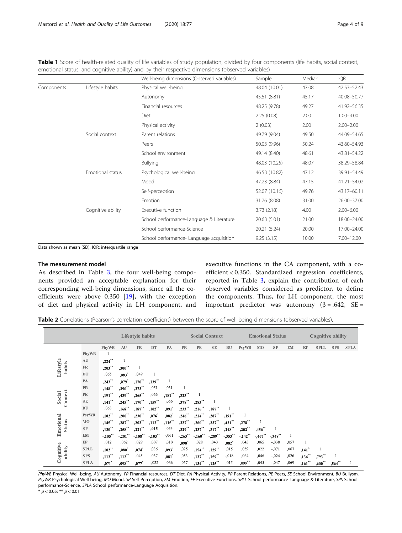<span id="page-3-0"></span>

| Table 1 Score of health-related quality of life variables of study population, divided by four components (life habits, social context, |  |  |  |  |  |
|-----------------------------------------------------------------------------------------------------------------------------------------|--|--|--|--|--|
| emotional status, and cognitive ability) and by their respective dimensions (observed variables)                                        |  |  |  |  |  |

|            |                   | Well-being dimensions (Observed variables) | Sample        | Median | <b>IQR</b>    |
|------------|-------------------|--------------------------------------------|---------------|--------|---------------|
| Components | Lifestyle habits  | Physical well-being                        | 48.04 (10.01) | 47.08  | 42.53-52.43   |
|            |                   | Autonomy                                   | 45.51 (8.81)  | 45.17  | 40.08-50.77   |
|            |                   | Financial resources                        | 48.25 (9.78)  | 49.27  | 41.92-56.35   |
|            |                   | Diet                                       | 2.25(0.08)    | 2.00   | $1.00 - 4.00$ |
|            |                   | Physical activity                          | 2(0.03)       | 2.00   | $2.00 - 2.00$ |
|            | Social context    | Parent relations                           | 49.79 (9.04)  | 49.50  | 44.09-54.65   |
|            |                   | Peers                                      | 50.03 (9.96)  | 50.24  | 43.60-54.93   |
|            |                   | School environment                         | 49.14 (8.40)  | 48.61  | 43.81-54.22   |
|            |                   | <b>Bullying</b>                            | 48.03 (10.25) | 48.07  | 38.29-58.84   |
|            | Emotional status  | Psychological well-being                   | 46.53 (10.82) | 47.12  | 39.91-54.49   |
|            |                   | Mood                                       | 47.23 (8.84)  | 47.15  | 41.21-54.02   |
|            |                   | Self-perception                            | 52.07 (10.16) | 49.76  | 43.17-60.11   |
|            |                   | Emotion                                    | 31.76 (8.08)  | 31.00  | 26.00-37.00   |
|            | Cognitive ability | Executive function                         | 3.73(2.18)    | 4.00   | $2.00 - 6.00$ |
|            |                   | School performance-Language & Literature   | 20.63 (5.01)  | 21.00  | 18.00-24.00   |
|            |                   | School performance-Science                 | 20.21 (5.24)  | 20.00  | 17.00-24.00   |
|            |                   | School performance- Language acquisition   | 9.25(3.15)    | 10.00  | 7.00-12.00    |

Data shown as mean (SD). IQR: interquartile range

#### The measurement model

As described in Table [3](#page-4-0), the four well-being components provided an acceptable explanation for their corresponding well-being dimensions, since all the coefficients were above 0.350 [\[19](#page-7-0)], with the exception of diet and physical activity in LH component, and executive functions in the CA component, with a coefficient < 0.350. Standardized regression coefficients, reported in Table [3,](#page-4-0) explain the contribution of each observed variables considered as predictor, to define the components. Thus, for LH component, the most important predictor was autonomy ( $β = .642$ ,  $SE =$ 

Table 2 Correlations (Pearson's correlation coefficient) between the score of well-being dimensions (observed variables).

|                                               |                        |                      |                      | Lifestyle habits     |                       |                      |                       | <b>Social Context</b> |                      |                      |                       |            | <b>Emotional Status</b> |           |                         | <b>Cognitive ability</b> |                      |             |
|-----------------------------------------------|------------------------|----------------------|----------------------|----------------------|-----------------------|----------------------|-----------------------|-----------------------|----------------------|----------------------|-----------------------|------------|-------------------------|-----------|-------------------------|--------------------------|----------------------|-------------|
|                                               |                        | PhyWB                | AU                   | <b>FR</b>            | DT                    | PA                   | PR                    | PE                    | ${\bf SE}$           | BU                   | <b>PsyWB</b>          | MO         | SP                      | <b>EM</b> | $\mathbb{E} \mathbb{F}$ | <b>SPLL</b>              | <b>SPS</b>           | <b>SPLA</b> |
|                                               | PhyWB                  |                      |                      |                      |                       |                      |                       |                       |                      |                      |                       |            |                         |           |                         |                          |                      |             |
|                                               | AU                     | $,224$ **            |                      |                      |                       |                      |                       |                       |                      |                      |                       |            |                         |           |                         |                          |                      |             |
| Lifestyle<br>habits                           | FR                     | $,203$ <sup>**</sup> | $,300^{**}$          |                      |                       |                      |                       |                       |                      |                      |                       |            |                         |           |                         |                          |                      |             |
|                                               | DT                     | ,065                 | ,083"                | ,049                 |                       |                      |                       |                       |                      |                      |                       |            |                         |           |                         |                          |                      |             |
|                                               | PA                     | $,243$ <sup>**</sup> | $,079*$              | $,170^{**}$          | $,139***$             |                      |                       |                       |                      |                      |                       |            |                         |           |                         |                          |                      |             |
|                                               | PR                     | $,148$ <sup>**</sup> | $,390^{**}$          | $,273$ <sup>**</sup> | ,051                  | ,031                 |                       |                       |                      |                      |                       |            |                         |           |                         |                          |                      |             |
| Context<br>Social                             | PE                     | $,191$ <sup>**</sup> | $,439$ <sup>**</sup> | ,265                 | ,066                  | $,181$ <sup>**</sup> | $,323$ <sup>**</sup>  |                       |                      |                      |                       |            |                         |           |                         |                          |                      |             |
|                                               | SE                     | $,141$ <sup>**</sup> | .245                 | $,170***$            | $,159$ <sup>**</sup>  | ,066                 | $,378$ <sup>**</sup>  | $,283$ <sup>**</sup>  |                      |                      |                       |            |                         |           |                         |                          |                      |             |
| BU                                            |                        | ,063                 | $,168$ <sup>**</sup> | $,187$ <sup>**</sup> | $,102$ **             | $,091$ <sup>*</sup>  | $,233$ <sup>**</sup>  | $,216$ **             | $,187$ <sup>**</sup> |                      |                       |            |                         |           |                         |                          |                      |             |
|                                               | <b>PsyWB</b>           | $,182$ <sup>**</sup> | $,200^{**}$          | $,230$ **            | ,076                  | $,082$ <sup>*</sup>  | ,246                  | , 214                 | $,287$ <sup>**</sup> | $,191$ <sup>**</sup> |                       |            |                         |           |                         |                          |                      |             |
|                                               | <b>MO</b>              | $,145$ **            | ,287                 | $,203$ **            | $,112$ **             | $,115$ **            | $,337$ **             | $,260$ **             | $,337$ **            | $,421$ <sup>**</sup> | $,278$ <sup>**</sup>  |            |                         |           |                         |                          |                      |             |
| Emotional<br><b>Status</b><br>SP<br><b>EM</b> |                        | $,130^{**}$          | $,258***$            | $,221$ <sup>**</sup> | ,015                  | ,053                 | $,329$ <sup>**</sup>  | $,237***$             | $,317***$            | $,248$ <sup>**</sup> | $,202$ <sup>**</sup>  | $,456$ **  |                         |           |                         |                          |                      |             |
|                                               |                        | $-.105$ **           | $-.201$ **           | $-.108$ **           | $-.103$ <sup>**</sup> | $-0.061$             | $-.263$ <sup>**</sup> | $-.160$               | $-.289$ **           | $-.353$ **           | $-.142$ <sup>**</sup> | $-.467$ ** | $-.348**$               |           |                         |                          |                      |             |
| Cognitive<br>ability                          | $\mathbb{E}\mathbb{F}$ | ,012                 | ,062                 | ,029                 | ,007                  | ,010                 | ,098                  | ,028                  | ,040                 | ,082"                | ,045                  | ,065       | $-.038$                 | ,057      |                         |                          |                      |             |
|                                               | <b>SPLL</b>            | $,102$ **            | $.080*$              | $,074$ <sup>*</sup>  | ,036                  | $,093$ <sup>*</sup>  | ,025                  | ,154                  | $,129$ **            | ,015                 | ,059                  | ,022       | $-.071$                 | ,067      | $,141$ <sup>**</sup>    |                          |                      |             |
|                                               | <b>SPS</b>             | $,113$ <sup>**</sup> | $,112^{**}$          | ,045                 | ,037                  | $,081$ <sup>*</sup>  | ,053                  | $,137***$             | $,159$ <sup>**</sup> | $-.018$              | ,064                  | ,046       | $-0.024$                | ,026      | $,134$ "                | $,793$ <sup>**</sup>     |                      |             |
|                                               | <b>SPLA</b>            | $,071$ <sup>*</sup>  | ,098"                | $,077$ <sup>*</sup>  | $-.022$               | ,066                 | ,057                  | ,134"                 | $,125$ <sup>**</sup> | ,015                 | $,099$ **             | ,045       | $-0.047$                | ,069      | $,161$ **               | $,600^{**}$              | $,564$ <sup>**</sup> |             |

PhyWB Physical Well-being, AU Autonomy, FR Financial resources, DT Diet, PA Physical Activity, PR Parent Relations, PE Peers, SE School Environment, BU Bullysm, PsyWB Psychological Well-being, MO Mood, SP Self-Perception, EM Emotion, EF Executive Functions, SPLL School performance-Language & Literature, SPS School performance-Science, SPLA School performance-Language Acquisition.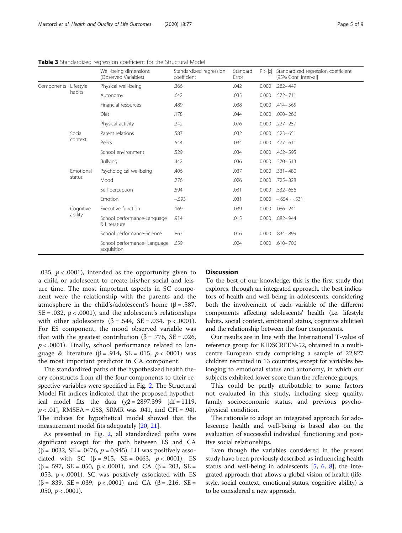|                      |                     | Well-being dimensions<br>(Observed Variables) | Standardized regression<br>coefficient | Standard<br>Error | P >  Z | Standardized regression coefficient<br>[95% Conf. Interval] |
|----------------------|---------------------|-----------------------------------------------|----------------------------------------|-------------------|--------|-------------------------------------------------------------|
| Components Lifestyle |                     | Physical well-being                           | .366                                   | .042              | 0.000  | $.282 - .449$                                               |
|                      | habits              | Autonomy                                      | .642                                   | .035              | 0.000  | $.572 - .711$                                               |
|                      |                     | Financial resources                           | .489                                   | .038              | 0.000  | .414 - .565                                                 |
|                      |                     | Diet                                          | .178                                   | .044              | 0.000  | $.090 - .266$                                               |
|                      |                     | Physical activity                             | .242                                   | .076              | 0.000  | $.227 - .257$                                               |
|                      | Social<br>context   | Parent relations                              | .587                                   | .032              | 0.000  | $.523 - .651$                                               |
|                      |                     | Peers                                         | .544                                   | .034              | 0.000  | $.477 - .611$                                               |
|                      |                     | School environment                            | .529                                   | .034              | 0.000  | $.462 - .595$                                               |
|                      |                     | Bullying                                      | .442                                   | .036              | 0.000  | $.370 - .513$                                               |
|                      | Emotional<br>status | Psychological wellbeing                       | .406                                   | .037              | 0.000  | $.331 - .480$                                               |
|                      |                     | Mood                                          | .776                                   | .026              | 0.000  | $.725 - .828$                                               |
|                      |                     | Self-perception                               | .594                                   | .031              | 0.000  | $.532 - .656$                                               |
|                      |                     | Emotion                                       | $-.593$                                | .031              | 0.000  | $-.654 - .531$                                              |
|                      | Cognitive           | Executive function                            | .169                                   | .039              | 0.000  | $.086 - .241$                                               |
|                      | ability             | School performance-Language<br>& Literature   | .914                                   | .015              | 0.000  | $.882 - .944$                                               |
|                      |                     | School performance-Science                    | .867                                   | .016              | 0.000  | .834-.899                                                   |
|                      |                     | School performance- Language<br>acquisition   | .659                                   | .024              | 0.000  | $.610 - .706$                                               |

<span id="page-4-0"></span>Table 3 Standardized regression coefficient for the Structural Model

.035,  $p < .0001$ ), intended as the opportunity given to a child or adolescent to create his/her social and leisure time. The most important aspects in SC component were the relationship with the parents and the atmosphere in the child's/adolescent's home (β = .587,  $SE = .032$ ,  $p < .0001$ ), and the adolescent's relationships with other adolescents (β = .544, SE = .034, p < .0001). For ES component, the mood observed variable was that with the greatest contribution (β = .776, SE = .026,  $p < .0001$ ). Finally, school performance related to language & literature (β = .914, SE = .015,  $p < .0001$ ) was the most important predictor in CA component.

The standardized paths of the hypothesized health theory constructs from all the four components to their respective variables were specified in Fig. [2](#page-5-0). The Structural Model Fit indices indicated that the proposed hypothetical model fits the data  $(\chi^2 = 2897.399)$  [df = 1119,  $p < .01$ , RMSEA = .053, SRMR was .041, and CFI = .94). The indices for hypothetical model showed that the measurement model fits adequately [\[20](#page-7-0), [21\]](#page-7-0).

As presented in Fig. [2](#page-5-0), all standardized paths were significant except for the path between ES and CA  $(β = .0032, SE = .0476, p = 0.945)$ . LH was positively associated with SC (β = .915, SE = .0463,  $p < .0001$ ), ES ( $\beta$  = .597, SE = .050, p < .0001), and CA ( $\beta$  = .203, SE = .053, p < .0001). SC was positively associated with ES (β = .839, SE = .039, p < .0001) and CA (β = .216, SE = .050,  $p < .0001$ ).

### **Discussion**

To the best of our knowledge, this is the first study that explores, through an integrated approach, the best indicators of health and well-being in adolescents, considering both the involvement of each variable of the different components affecting adolescents' health (i.e. lifestyle habits, social context, emotional status, cognitive abilities) and the relationship between the four components.

Our results are in line with the International T-value of reference group for KIDSCREEN-52, obtained in a multicentre European study comprising a sample of 22,827 children recruited in 13 countries, except for variables belonging to emotional status and autonomy, in which our subjects exhibited lower score than the reference groups.

This could be partly attributable to some factors not evaluated in this study, including sleep quality, family socioeconomic status, and previous psychophysical condition.

The rationale to adopt an integrated approach for adolescence health and well-being is based also on the evaluation of successful individual functioning and positive social relationships.

Even though the variables considered in the present study have been previously described as influencing health status and well-being in adolescents  $[5, 6, 8]$  $[5, 6, 8]$  $[5, 6, 8]$  $[5, 6, 8]$  $[5, 6, 8]$  $[5, 6, 8]$ , the integrated approach that allows a global vision of health (lifestyle, social context, emotional status, cognitive ability) is to be considered a new approach.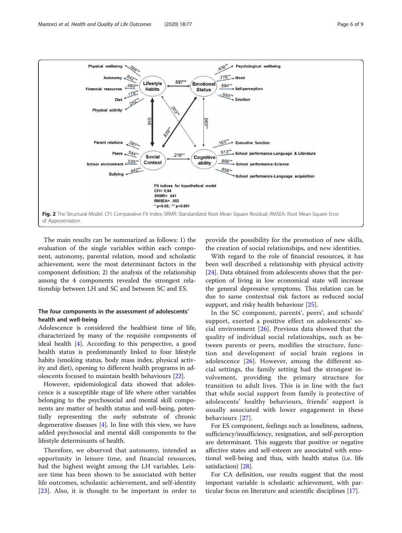<span id="page-5-0"></span>

The main results can be summarized as follows: 1) the evaluation of the single variables within each component, autonomy, parental relation, mood and scholastic achievement, were the most determinant factors in the component definition; 2) the analysis of the relationship among the 4 components revealed the strongest relationship between LH and SC and between SC and ES.

# The four components in the assessment of adolescents' health and well-being

Adolescence is considered the healthiest time of life, characterized by many of the requisite components of ideal health [[4\]](#page-7-0). According to this perspective, a good health status is predominantly linked to four lifestyle habits (smoking status, body mass index, physical activity and diet), opening to different health programs in adolescents focused to maintain health behaviours [\[22](#page-7-0)].

However, epidemiological data showed that adolescence is a susceptible stage of life where other variables belonging to the psychosocial and mental skill components are matter of health status and well-being, potentially representing the early substrate of chronic degenerative diseases  $[4]$  $[4]$ . In line with this view, we have added psychosocial and mental skill components to the lifestyle determinants of health.

Therefore, we observed that autonomy, intended as opportunity in leisure time, and financial resources, had the highest weight among the LH variables. Leisure time has been shown to be associated with better life outcomes, scholastic achievement, and self-identity [[23](#page-8-0)]. Also, it is thought to be important in order to provide the possibility for the promotion of new skills, the creation of social relationships, and new identities.

With regard to the role of financial resources, it has been well described a relationship with physical activity [[24\]](#page-8-0). Data obtained from adolescents shows that the perception of living in low economical state will increase the general depressive symptoms. This relation can be due to same contextual risk factors as reduced social support, and risky health behaviour [\[25\]](#page-8-0).

In the SC component, parents', peers', and schools' support, exerted a positive effect on adolescents' social environment [[26\]](#page-8-0). Previous data showed that the quality of individual social relationships, such as between parents or peers, modifies the structure, function and development of social brain regions in adolescence [[26](#page-8-0)]. However, among the different social settings, the family setting had the strongest involvement, providing the primary structure for transition to adult lives. This is in line with the fact that while social support from family is protective of adolescents' healthy behaviours, friends' support is usually associated with lower engagement in these behaviours [\[27\]](#page-8-0).

For ES component, feelings such as loneliness, sadness, sufficiency/insufficiency, resignation, and self-perception are determinant. This suggests that positive or negative affective states and self-esteem are associated with emotional well-being and thus, with health status (i.e. life satisfaction) [[28](#page-8-0)].

For CA definition, our results suggest that the most important variable is scholastic achievement, with particular focus on literature and scientific disciplines [\[17](#page-7-0)].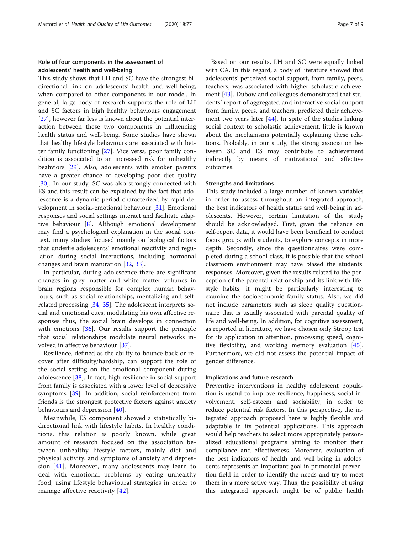# Role of four components in the assessment of adolescents' health and well-being

This study shows that LH and SC have the strongest bidirectional link on adolescents' health and well-being, when compared to other components in our model. In general, large body of research supports the role of LH and SC factors in high healthy behaviours engagement [[27\]](#page-8-0), however far less is known about the potential interaction between these two components in influencing health status and well-being. Some studies have shown that healthy lifestyle behaviours are associated with better family functioning [[27\]](#page-8-0). Vice versa, poor family condition is associated to an increased risk for unhealthy beahviors [[29\]](#page-8-0). Also, adolescents with smoker parents have a greater chance of developing poor diet quality [[30\]](#page-8-0). In our study, SC was also strongly connected with ES and this result can be explained by the fact that adolescence is a dynamic period characterized by rapid development in social-emotional behaviour [\[31](#page-8-0)]. Emotional responses and social settings interact and facilitate adaptive behaviour [\[8](#page-7-0)]. Although emotional development may find a psychological explanation in the social context, many studies focused mainly on biological factors that underlie adolescents' emotional reactivity and regulation during social interactions, including hormonal changes and brain maturation [[32](#page-8-0), [33](#page-8-0)].

In particular, during adolescence there are significant changes in grey matter and white matter volumes in brain regions responsible for complex human behaviours, such as social relationships, mentalizing and selfrelated processing [[34,](#page-8-0) [35\]](#page-8-0). The adolescent interprets social and emotional cues, modulating his own affective responses thus, the social brain develops in connection with emotions [[36\]](#page-8-0). Our results support the principle that social relationships modulate neural networks involved in affective behaviour [[37\]](#page-8-0).

Resilience, defined as the ability to bounce back or recover after difficulty/hardship, can support the role of the social setting on the emotional component during adolescence [\[38](#page-8-0)]. In fact, high resilience in social support from family is associated with a lower level of depressive symptoms [[39](#page-8-0)]. In addition, social reinforcement from friends is the strongest protective factors against anxiety behaviours and depression [\[40](#page-8-0)].

Meanwhile, ES component showed a statistically bidirectional link with lifestyle habits. In healthy conditions, this relation is poorly known, while great amount of research focused on the association between unhealthy lifestyle factors, mainly diet and physical activity, and symptoms of anxiety and depression [\[41\]](#page-8-0). Moreover, many adolescents may learn to deal with emotional problems by eating unhealthy food, using lifestyle behavioural strategies in order to manage affective reactivity [[42\]](#page-8-0).

Based on our results, LH and SC were equally linked with CA. In this regard, a body of literature showed that adolescents' perceived social support, from family, peers, teachers, was associated with higher scholastic achievement [[43\]](#page-8-0). Dubow and colleagues demonstrated that students' report of aggregated and interactive social support from family, peers, and teachers, predicted their achievement two years later [\[44\]](#page-8-0). In spite of the studies linking social context to scholastic achievement, little is known about the mechanisms potentially explaining these relations. Probably, in our study, the strong association between SC and ES may contribute to achievement indirectly by means of motivational and affective outcomes.

#### Strengths and limitations

This study included a large number of known variables in order to assess throughout an integrated approach, the best indicators of health status and well-being in adolescents. However, certain limitation of the study should be acknowledged. First, given the reliance on self-report data, it would have been beneficial to conduct focus groups with students, to explore concepts in more depth. Secondly, since the questionnaires were completed during a school class, it is possible that the school classroom environment may have biased the students' responses. Moreover, given the results related to the perception of the parental relationship and its link with lifestyle habits, it might be particularly interesting to examine the socioeconomic family status. Also, we did not include parameters such as sleep quality questionnaire that is usually associated with parental quality of life and well-being. In addition, for cognitive assessment, as reported in literature, we have chosen only Stroop test for its application in attention, processing speed, cognitive flexibility, and working memory evaluation [\[45](#page-8-0)]. Furthermore, we did not assess the potential impact of gender difference.

#### Implications and future research

Preventive interventions in healthy adolescent population is useful to improve resilience, happiness, social involvement, self-esteem and sociability, in order to reduce potential risk factors. In this perspective, the integrated approach proposed here is highly flexible and adaptable in its potential applications. This approach would help teachers to select more appropriately personalized educational programs aiming to monitor their compliance and effectiveness. Moreover, evaluation of the best indicators of health and well-being in adolescents represents an important goal in primordial prevention field in order to identify the needs and try to meet them in a more active way. Thus, the possibility of using this integrated approach might be of public health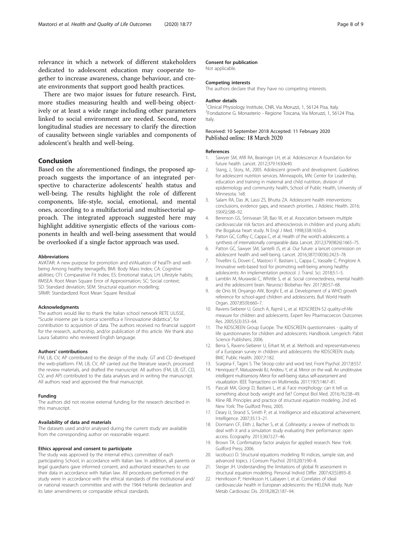<span id="page-7-0"></span>relevance in which a network of different stakeholders dedicated to adolescent education may cooperate together to increase awareness, change behaviour, and create environments that support good health practices.

There are two major issues for future research. First, more studies measuring health and well-being objectively or at least a wide range including other parameters linked to social environment are needed. Second, more longitudinal studies are necessary to clarify the direction of causality between single variables and components of adolescent's health and well-being.

#### Conclusion

Based on the aforementioned findings, the proposed approach suggests the importance of an integrated perspective to characterize adolescents' health status and well-being. The results highlight the role of different components, life-style, social, emotional, and mental ones, according to a multifactorial and multisectorial approach. The integrated approach suggested here may highlight additive synergistic effects of the various components in health and well-being assessment that would be overlooked if a single factor approach was used.

#### Abbreviations

AVATAR: A new purpose for promotion and eVAluation of healTh and wellbeing Among healthy teenageRs; BMI: Body Mass Index; CA: Cognitive abilities; CFI: Comparative Fit Index; ES: Emotional status; LH: Lifestyle habits; RMSEA: Root Mean Square Error of Approximation; SC: Social context; SD: Standard deviation; SEM: Structural equation modelling; SRMR: Standardized Root Mean Square Residual

#### Acknowledgments

The authors would like to thank the Italian school network RETE ULISSE, "Scuole insieme per la ricerca scientifica e l'innovazione didattica", for contribution to acquisition of data. The authors received no financial support for the research, authorship, and/or publication of this article. We thank also Laura Sabatino who reviewed English language.

#### Authors' contributions

FM, LB, CV, AP contributed to the design of the study. GT and CD developed the web-platform. FM, LB, CV, AP carried out the literature search, processed the review materials, and drafted the manuscript. All authors (FM, LB, GT, CD, CV, and AP) contributed to the data analyses and in writing the manuscript. All authors read and approved the final manuscript.

#### Funding

The authors did not receive external funding for the research described in this manuscript.

#### Availability of data and materials

The datasets used and/or analysed during the current study are available from the corresponding author on reasonable request.

#### Ethics approval and consent to participate

The study was approved by the internal ethics committee of each participating School, in accordance with Italian law. In addition, all parents or legal guardians gave informed consent, and authorized researchers to use their data in accordance with Italian law. All procedures performed in the study were in accordance with the ethical standards of the institutional and/ or national research committee and with the 1964 Helsinki declaration and its later amendments or comparable ethical standards.

#### Consent for publication

Not applicable.

#### Competing interests

The authors declare that they have no competing interests.

#### Author details

<sup>1</sup> Clinical Physiology Institute, CNR, Via Moruzzi, 1, 56124 Pisa, Italy 2 Fondazione G. Monasterio - Regione Toscana, Via Moruzzi, 1, 56124 Pisa, Italy.

#### Received: 10 September 2018 Accepted: 11 February 2020 Published online: 18 March 2020

#### References

- 1. Sawyer SM, Afifi RA, Bearinger LH, et al. Adolescence: A foundation for future health. Lancet. 2012;379:1630e40.
- 2. Stang, J., Story, M., 2005. Adolescent growth and development. Guidelines for adolescent nutrition services. Minneapolis, MN: Center for Leadership, education and training in maternal and child nutrition, division of epidemiology and community health, School of Public Health, University of Minnesota; 1e8.
- 3. Salam RA, Das JK, Lassi ZS, Bhutta ZA. Adolescent health interventions: conclusions, evidence gaps, and research priorities. J Adolesc Health. 2016; 59(4S):S88–92.
- Berenson GS, Srinivasan SR, Bao W, et al. Association between multiple cardiovascular risk factors and atherosclerosis in children and young adults: the Bogalusa heart study. N Engl J Med. 1998;338:1650–6.
- 5. Patton GC, Coffey C, Cappa C, et al. Health of the world's adolescents: a synthesis of internationally comparable data. Lancet. 2012;379(9826):1665–75.
- 6. Patton GC, Sawyer SM, Santelli JS, et al. Our future: a lancet commission on adolescent health and well-being. Lancet. 2016;387(10036):2423–78.
- 7. Trivellini G, Doveri C, Mastorci F, Bastiani L, Cappa C, Vassalle C, Pingitore A. Innovative web-based tool for promoting well-being among healthy adolescents: An implementation protocol. J. Transl. Sci. 2018;5:1–5.
- 8. Lamblin M, Murawski C, Whittle S, et al. Social connectedness, mental health and the adolescent brain. Neurosci Biobehav Rev. 2017;80:57–68.
- 9. de Onis M, Onyango AW, Borghi E, et al. Development of a WHO growth reference for school-aged children and adolescents. Bull World Health Organ. 2007;85(9):660–7.
- 10. Ravens-Sieberer U, Gosch A, Rajmil L, et al. KIDSCREEN-52 quality-of-life measure for children and adolescents. Expert Rev Pharmacoecon Outcomes Res. 2005;5(3):353–64.
- 11. The KIDSCREEN Group Europe. The KIDSCREEN questionnaires quality of life questionnaires for children and adolescents. Handbook. Lengerich: Pabst Science Publishers; 2006.
- 12. Berra S, Ravens-Sieberer U, Erhart M, et al. Methods and representativeness of a European survey in children and adolescents: the KIDSCREEN study. BMC Public Health. 2007;7:182.
- 13. Scarpina F, Tagini S. The Stroop color and word test. Front Psychol. 2017;8:557.
- 14. Henriquez P, Matuszewski BJ, Andreu Y, et al. Mirror on the wall. An unobtrusive intelligent multisensory Mirror for well-being status self-assessment and visualization. IEEE Transactions on Multimedia. 2017;19(7):1467–81.
- 15. Pascali MA, Giorgi D, Bastiani L, et al. Face morphology: can it tell us something about body weight and fat? Comput Biol Med. 2016;76:238–49.
- 16. Kline RB. Principles and practice of structural equation modeling. 2nd ed. New York: The Guilford Press; 2005.
- 17. Deary IJ, Strand S, Smith P, et al. Intelligence and educational achievement. Intelligence. 2007;35:13–21.
- 18. Dormann CF, Elith J, Bacher S, et al. Collinearity: a review of methods to deal with it and a simulation study evaluating their performance: open access. Ecography. 2013;36(1):27–46.
- 19. Brown TA. Confirmatory factor analysis for applied research. New York: Guilford Press; 2006.
- 20. Iacobucci D. Structural equations modeling: fit indices, sample size, and advanced topics. J Consum Psychol. 2010;20(1):90–8.
- 21. Steiger JH. Understanding the limitations of global fit assessment in structural equation modeling. Personal Individ Differ. 2007;42(5):893–8.
- 22. Henriksson P, Henriksson H, Labayen I, et al. Correlates of ideal cardiovascular health in European adolescents: the HELENA study. Nutr Metab Cardiovasc Dis. 2018;28(2):187–94.